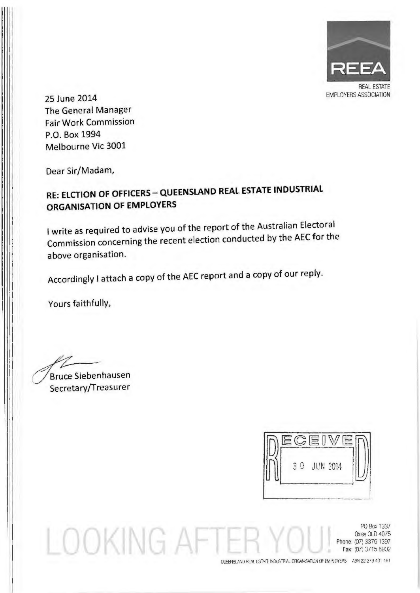

25 June 2014 The General Manager Fair Work Commission P.O. Box 1994 Melbourne Vic 3001

Dear Sir/Madam,

## RE: ELCTION OF OFFICERS- QUEENSLAND REAl ESTATE INDUSTRIAL ORGANISATION OF EMPLOYERS

I write as required to advise you of the report of the Australian Electoral Commission concerning the recent election conducted by the AEC for the above organisation.

Accordingly I attach a copy of the AEC report and a copy of our reply.

Yours faithfully,

::?/ Bruce Siebenhausen Secretary/Treasurer

LOOKING AFT

 $C E$ 3 0 JUN 2014

PO Box 1337 Oxley OLD 4075 Phone: (07) 33761397 Fax: (07) 3715 8902

OUEENSLAND REAL ESTATE INDUSTRIAL ORGANISATION OF EMPLOYERS ABN 32 279 401 461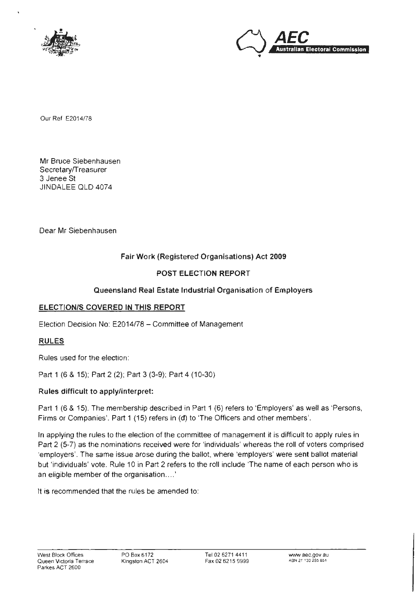



Our Ref E2014/78

Mr Bruce Siebenhausen Secretary/Treasurer 3 Jenee St JINDALEE OLD 4074

Dear Mr Siebenhausen

### Fair Work (Registered Organisations) Act 2009

### POST ELECTION REPORT

### Queensland Real Estate Industrial Organisation of Employers

### ELECTION/S COVERED IN THIS REPORT

Election Decision No: E2014/78- Committee of Management

### RULES

Rules used for the election:

Part 1 (6 & 15); Part 2 (2); Part 3 (3-9); Part 4 (10-30)

### Rules difficult to apply/interpret:

Part 1 (6 & 15}. The membership described in Part 1 {6} refers to 'Employers' as well as 'Persons. Firms or Companies'. Part 1 (15} refers in (d) to 'The Officers and other members'.

In applying the rules to the election of the committee of management it is difficult to apply rules in Part 2 (5-7} as the nominations received were for 'individuals' whereas the roll of voters comprised ·employers'. The same issue arose during the ballot, where 'employers' were sent ballot material but 'individuals' vote. Rule 10 in Part 2 refers to the roll include 'The name of each person who is an eligible member of the organisation .... '

It is recommended that the rules be amended to: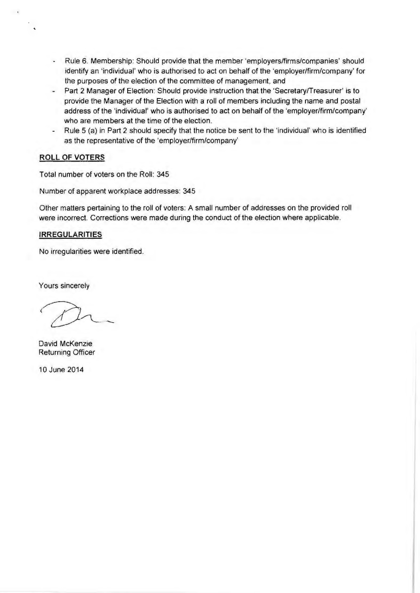- Rule 6. Membership: Should provide that the member 'employers/firms/companies' should identify an 'individual' who is authorised to act on behalf of the 'employer/firm/company' for the purposes of the election of the committee of management, and
- Part 2 Manager of Election: Should provide instruction that the 'Secretary/Treasurer' is to provide the Manager of the Election with a roll of members including the name and postal address of the 'individual' who is authorised to act on behalf of the 'employer/firm/company' who are members at the time of the election.
- Rule 5 (a) in Part 2 should specify that the notice be sent to the 'individual' who is identified  $\sim$ as the representative of the 'employer/firm/company'

### **ROLL OF VOTERS**

 $\ddot{\phantom{0}}$ 

Total number of voters on the Roll: 345

Number of apparent workplace addresses: 345

Other matters pertaining to the roll of voters: A small number of addresses on the provided roll were incorrect. Corrections were made during the conduct of the election where applicable.

#### **IRREGULARITIES**

No irregularities were identified.

Yours sincerely

David McKenzie Returning Officer

10 June 2014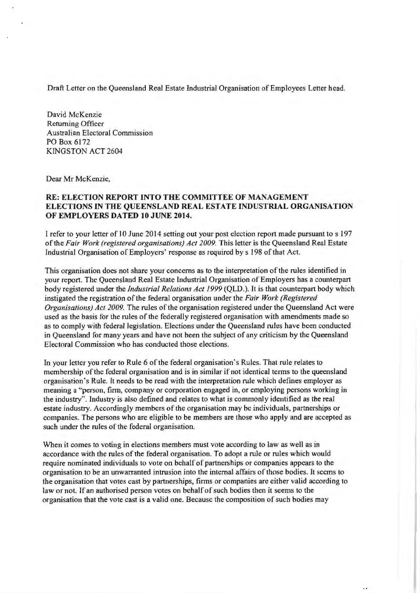Draft Letter on the Queensland Real Estate Industrial Organisation of Employees Letter head.

David McKenzie Returning Officer Australian Electoral Commission PO Box 6172 KINGSTON ACT 2604

Dear Mr McKenzie,

### RE: ELECTION REPORT INTO THE COMMITTEE OF MANAGEMENT ELECTIONS IN THE QUEENSLAND REAL ESTATE INDUSTRIAL ORGANISATION OF EMPLOYERS DATED 10 JUNE 2014.

I refer to your letter of 10 June 2014 setting out your post election report made pursuant to s 197 of the *Fair Work (registered organisations) Act 2009.* This letter is the Queensland Real Estate Industrial Organisation of Employers' response as required by s 198 of that Act.

This organisation does not share your concerns as to the interpretation of the rules identified in your report. The Queensland Real Estate Industrial Organisation of Employers has a counterpart body registered under the *Industrial Relations Act 1999* (QLD.). It is that counterpart body which instigated the registration of the federal organisation under the *Fair Work (Registered Organisations) Act 2009.* The rules of the organisation registered under the Queensland Act were used as the basis for the rules of the federally registered organisation with amendments made so as to comply with federal legislation. Elections under the Queensland rules have been conducted in Queensland for many years and have not been the subject of any criticism by the Queensland Electoral Commission who has conducted those elections.

In your letter you refer to Rule 6 of the federal organisation's Rules. That rule relates to membership of the federal organisation and is in similar if not identical terms to the queensland organisation's Rule. It needs to be read with the interpretation rule which defines employer as meaning a "person, firm, company or corporation engaged in, or employing persons working in the industry"'. Industry is also defined and relates to what is commonly identified as the real estate industry. Accordingly members of the organisation may be individuals, partnerships or companies. The persons who are eligible to be members are those who apply and are accepted as such under the rules of the federal organisation.

When it comes to voting in elections members must vote according to law as well as in accordance with the rules of the federal organisation. To adopt a rule or rules which would require nominated individuals to vote on behalf of partnerships or companies appears to the organisation to be an unwarranted intrusion into the internal affairs of those bodies. It seems to the organisation that votes cast by partnerships, firms or companies are either valid according to law or not. lf an authorised person votes on behalf of such bodies then it seems to the organisation that the vote cast is a valid one. Because the composition of such bodies may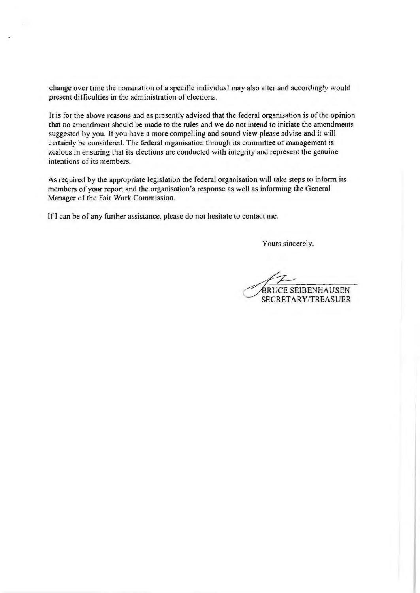change over time the nomination of a specific individual may also alter and accordingly would present difficulties in the administration of elections.

lt is for the above reasons and as presently advised that the federal organisation is of the opinion that no amendment should be made to the rules and we do not intend to initiate the amendments suggested by you. If you have a more compelling and sound view please advise and it will certainly be considered. The federal organisation through its committee of management is zealous in ensuring that its elections are conducted with integrity and represent the genuine intentions of its members.

As required by the appropriate legislation the federal organisation will take steps to inform its members of your report and the organisation's response as well as informing the General Manager of the Fair Work Commission.

If I can be of any further assistance, please do not hesitate to contact me.

Yours sincerely,

BRUCE SEIBENHAUSEN SECRETARY/TREASUER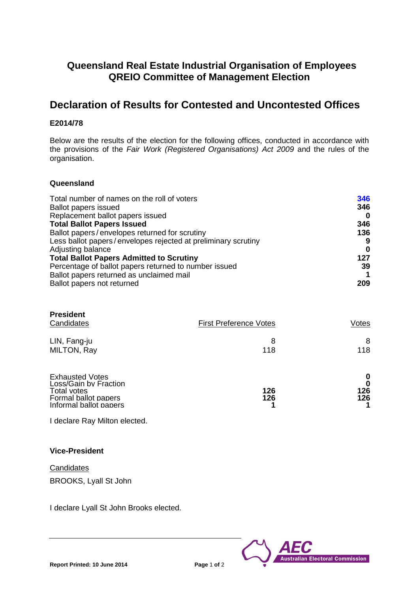### **Queensland Real Estate Industrial Organisation of Employees QREIO Committee of Management Election**

### **Declaration of Results for Contested and Uncontested Offices**

### **E2014/78**

Below are the results of the election for the following offices, conducted in accordance with the provisions of the *Fair Work (Registered Organisations) Act 2009* and the rules of the organisation.

### **Queensland**

| Total number of names on the roll of voters                   | 346 |
|---------------------------------------------------------------|-----|
| <b>Ballot papers issued</b>                                   | 346 |
| Replacement ballot papers issued                              | 0   |
| <b>Total Ballot Papers Issued</b>                             | 346 |
| Ballot papers/envelopes returned for scrutiny                 | 136 |
| Less ballot papers/envelopes rejected at preliminary scrutiny | 9   |
| Adjusting balance                                             | 0   |
| <b>Total Ballot Papers Admitted to Scrutiny</b>               | 127 |
| Percentage of ballot papers returned to number issued         | 39  |
| Ballot papers returned as unclaimed mail                      |     |
| Ballot papers not returned                                    | 209 |

| <b>President</b><br>Candidates                                                                                   | <b>First Preference Votes</b> | Votes                |
|------------------------------------------------------------------------------------------------------------------|-------------------------------|----------------------|
| LIN, Fang-ju<br>MILTON, Ray                                                                                      | 8<br>118                      | 8<br>118             |
| <b>Exhausted Votes</b><br>Loss/Gain by Fraction<br>Total votes<br>Formal ballot papers<br>Informal ballot papers | 126<br>126                    | 0<br>0<br>126<br>126 |

I declare Ray Milton elected.

### **Vice-President**

**Candidates** BROOKS, Lyall St John

I declare Lyall St John Brooks elected.

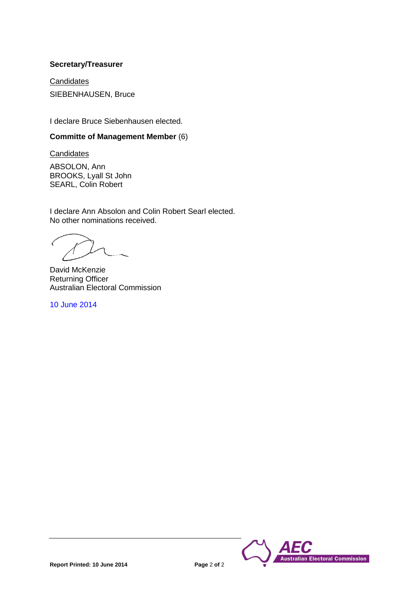### **Secretary/Treasurer**

**Candidates** SIEBENHAUSEN, Bruce

I declare Bruce Siebenhausen elected.

### **Committe of Management Member** (6)

**Candidates** 

ABSOLON, Ann BROOKS, Lyall St John SEARL, Colin Robert

I declare Ann Absolon and Colin Robert Searl elected. No other nominations received.

David McKenzie Returning Officer Australian Electoral Commission

10 June 2014

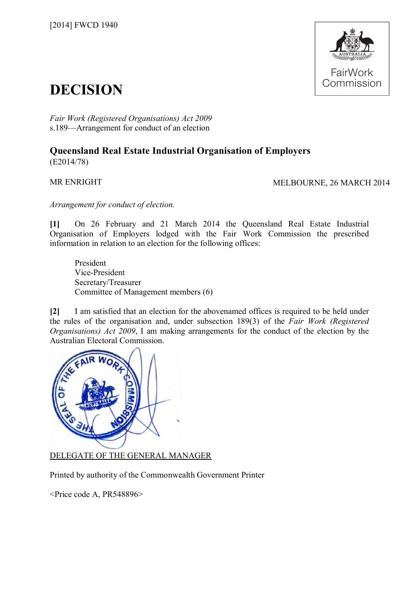

# **DECISION**

*Fair Work (Registered Organisations) Act 2009* s.189—Arrangement for conduct of an election

### **Queensland Real Estate Industrial Organisation of Employers** (E2014/78)

MR ENRIGHT MELBOURNE, 26 MARCH 2014

*Arrangement for conduct of election.*

**[1]** On 26 February and 21 March 2014 the Queensland Real Estate Industrial Organisation of Employers lodged with the Fair Work Commission the prescribed information in relation to an election for the following offices:

President Vice-President Secretary/Treasurer Committee of Management members (6)

**[2]** I am satisfied that an election for the abovenamed offices is required to be held under the rules of the organisation and, under subsection 189(3) of the *Fair Work (Registered Organisations) Act 2009*, I am making arrangements for the conduct of the election by the Australian Electoral Commission.



DELEGATE OF THE GENERAL MANAGER

Printed by authority of the Commonwealth Government Printer

<Price code A, PR548896>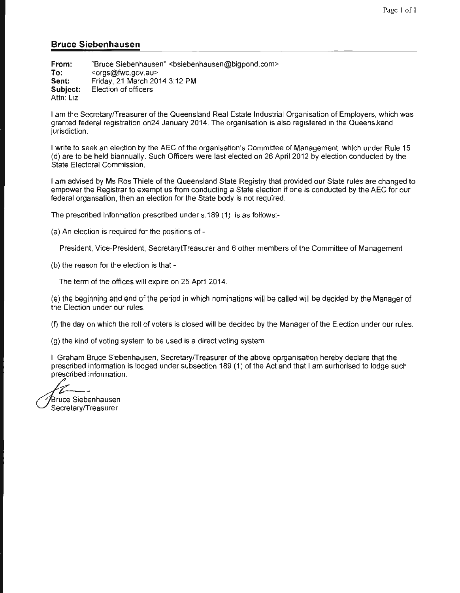#### **Bruce Siebenhausen**

**From: To: Sent: Subject:**  Attn: Liz "Bruce Siebenhausen" <bsiebenhausen@bigpond.com> <orgs@fwc. gov .au> Friday, 21 March 2014 3:12PM Election of officers

I am the Secretary/Treasurer of the Queensland Real Estate Industrial Organisation of Employers, which was granted federal registration on24 January 2014. The organisation is also registered in the Queenslkand jurisdiction.

I write to seek an election by the AEC of the organisation's Committee of Management, which under Rule 15 (d) are to be held biannually. Such Officers were last elected on 26 April 2012 by election conducted by the State Electoral Commission.

I am advised by Ms Ros Thiele of the Queensland State Registry that provided our State rules are changed to empower the Registrar to exempt us from conducting a State election if one is conducted by the AEC for our federal organsation, then an election for the State body is not required.

The prescribed information prescribed under s.189 (1) is as follows:-

(a) An election is required for the positions of-

President, Vice-President, SecretarytTreasurer and 6 other members of the Committee of Management

(b) the reason for the election is that-

The term of the offices will expire on 25 April 2014.

(e) the beginning and end of the period in which nominations will be called will be decided by the Manager of the Election under our rules.

(f) the day on which the roll of voters is closed will be decided by the Manager of the Election under our rules.

(g) the kind of voting system to be used is a direct voting system.

I, Graham Bruce Siebenhausen, Secretary/Treasurer of the above oprganisation hereby declare that the prescribed information is lodged under subsection 189 (1) of the Act and that I am aurhorised to lodge such prescribed information.

Bruce Siebenhausen Secretary/Treasurer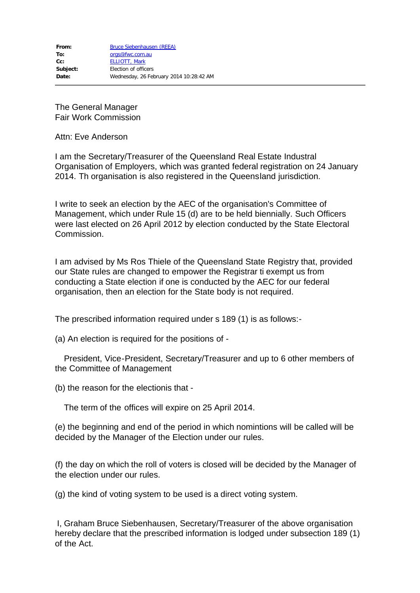The General Manager Fair Work Commission

Attn: Eve Anderson

I am the Secretary/Treasurer of the Queensland Real Estate Industral Organisation of Employers, which was granted federal registration on 24 January 2014. Th organisation is also registered in the Queensland jurisdiction.

I write to seek an election by the AEC of the organisation's Committee of Management, which under Rule 15 (d) are to be held biennially. Such Officers were last elected on 26 April 2012 by election conducted by the State Electoral Commission.

I am advised by Ms Ros Thiele of the Queensland State Registry that, provided our State rules are changed to empower the Registrar ti exempt us from conducting a State election if one is conducted by the AEC for our federal organisation, then an election for the State body is not required.

The prescribed information required under s 189 (1) is as follows:-

(a) An election is required for the positions of -

 President, Vice-President, Secretary/Treasurer and up to 6 other members of the Committee of Management

(b) the reason for the electionis that -

The term of the offices will expire on 25 April 2014.

(e) the beginning and end of the period in which nomintions will be called will be decided by the Manager of the Election under our rules.

(f) the day on which the roll of voters is closed will be decided by the Manager of the election under our rules.

(g) the kind of voting system to be used is a direct voting system.

I, Graham Bruce Siebenhausen, Secretary/Treasurer of the above organisation hereby declare that the prescribed information is lodged under subsection 189 (1) of the Act.